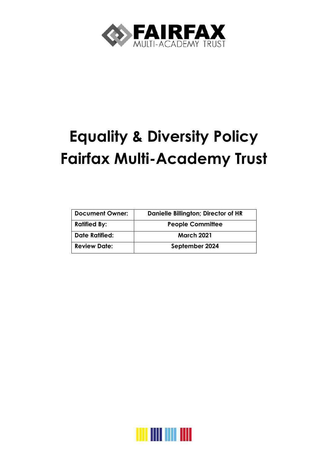

# **Equality & Diversity Policy Fairfax Multi-Academy Trust**

| <b>Document Owner:</b> | Danielle Billington; Director of HR |
|------------------------|-------------------------------------|
| <b>Ratified By:</b>    | <b>People Committee</b>             |
| <b>Date Ratified:</b>  | <b>March 2021</b>                   |
| <b>Review Date:</b>    | September 2024                      |

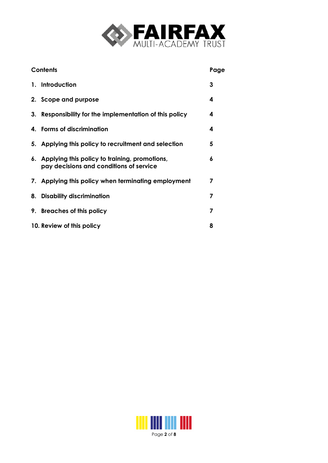

| <b>Contents</b> |                                                                                             | Page |
|-----------------|---------------------------------------------------------------------------------------------|------|
|                 | 1. Introduction                                                                             | 3    |
|                 | 2. Scope and purpose                                                                        | 4    |
|                 | 3. Responsibility for the implementation of this policy                                     | 4    |
|                 | 4. Forms of discrimination                                                                  | 4    |
|                 | 5. Applying this policy to recruitment and selection                                        | 5    |
|                 | 6. Applying this policy to training, promotions,<br>pay decisions and conditions of service | 6    |
|                 | 7. Applying this policy when terminating employment                                         | 7    |
|                 | 8. Disability discrimination                                                                | 7    |
|                 | 9. Breaches of this policy                                                                  | 7    |
|                 | 10. Review of this policy                                                                   | 8    |

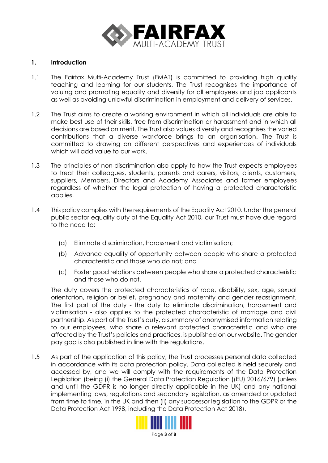

#### **1. Introduction**

- 1.1 The Fairfax Multi-Academy Trust (FMAT) is committed to providing high quality teaching and learning for our students. The Trust recognises the importance of valuing and promoting equality and diversity for all employees and job applicants as well as avoiding unlawful discrimination in employment and delivery of services.
- 1.2 The Trust aims to create a working environment in which all individuals are able to make best use of their skills, free from discrimination or harassment and in which all decisions are based on merit. The Trust also values diversity and recognises the varied contributions that a diverse workforce brings to an organisation. The Trust is committed to drawing on different perspectives and experiences of individuals which will add value to our work.
- 1.3 The principles of non-discrimination also apply to how the Trust expects employees to treat their colleagues, students, parents and carers, visitors, clients, customers, suppliers, Members, Directors and Academy Associates and former employees regardless of whether the legal protection of having a protected characteristic applies.
- 1.4 This policy complies with the requirements of the Equality Act 2010. Under the general public sector equality duty of the Equality Act 2010, our Trust must have due regard to the need to:
	- (a) Eliminate discrimination, harassment and victimisation;
	- (b) Advance equality of opportunity between people who share a protected characteristic and those who do not; and
	- (c) Foster good relations between people who share a protected characteristic and those who do not.

The duty covers the protected characteristics of race, disability, sex, age, sexual orientation, religion or belief, pregnancy and maternity and gender reassignment. The first part of the duty - the duty to eliminate discrimination, harassment and victimisation - also applies to the protected characteristic of marriage and civil partnership. As part of the Trust's duty, a summary of anonymised information relating to our employees, who share a relevant protected characteristic and who are affected by the Trust's policies and practices, is published on our website. The gender pay gap is also published in line with the regulations.

1.5 As part of the application of this policy, the Trust processes personal data collected in accordance with its data protection policy. Data collected is held securely and accessed by, and we will comply with the requirements of the Data Protection Legislation (being (i) the General Data Protection Regulation ((EU) 2016/679) (unless and until the GDPR is no longer directly applicable in the UK) and any national implementing laws, regulations and secondary legislation, as amended or updated from time to time, in the UK and then (ii) any successor legislation to the GDPR or the Data Protection Act 1998, including the Data Protection Act 2018).



Page **3** of **8**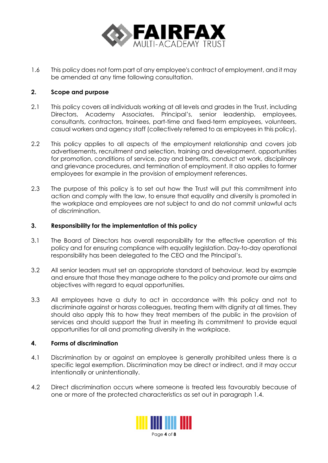

1.6 This policy does not form part of any employee's contract of employment, and it may be amended at any time following consultation.

## **2. Scope and purpose**

- 2.1 This policy covers all individuals working at all levels and grades in the Trust, including Directors, Academy Associates, Principal's, senior leadership, employees, consultants, contractors, trainees, part-time and fixed-term employees, volunteers, casual workers and agency staff (collectively referred to as employees in this policy).
- 2.2 This policy applies to all aspects of the employment relationship and covers job advertisements, recruitment and selection, training and development, opportunities for promotion, conditions of service, pay and benefits, conduct at work, disciplinary and grievance procedures, and termination of employment. It also applies to former employees for example in the provision of employment references.
- 2.3 The purpose of this policy is to set out how the Trust will put this commitment into action and comply with the law, to ensure that equality and diversity is promoted in the workplace and employees are not subject to and do not commit unlawful acts of discrimination.

#### **3. Responsibility for the implementation of this policy**

- 3.1 The Board of Directors has overall responsibility for the effective operation of this policy and for ensuring compliance with equality legislation. Day-to-day operational responsibility has been delegated to the CEO and the Principal's.
- 3.2 All senior leaders must set an appropriate standard of behaviour, lead by example and ensure that those they manage adhere to the policy and promote our aims and objectives with regard to equal opportunities.
- 3.3 All employees have a duty to act in accordance with this policy and not to discriminate against or harass colleagues, treating them with dignity at all times. They should also apply this to how they treat members of the public in the provision of services and should support the Trust in meeting its commitment to provide equal opportunities for all and promoting diversity in the workplace.

#### **4. Forms of discrimination**

- 4.1 Discrimination by or against an employee is generally prohibited unless there is a specific legal exemption. Discrimination may be direct or indirect, and it may occur intentionally or unintentionally.
- 4.2 Direct discrimination occurs where someone is treated less favourably because of one or more of the protected characteristics as set out in paragraph 1.4.

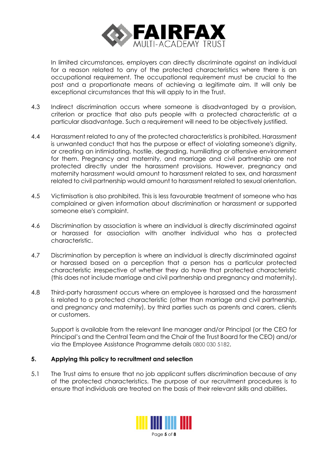

In limited circumstances, employers can directly discriminate against an individual for a reason related to any of the protected characteristics where there is an occupational requirement. The occupational requirement must be crucial to the post and a proportionate means of achieving a legitimate aim. It will only be exceptional circumstances that this will apply to in the Trust.

- 4.3 Indirect discrimination occurs where someone is disadvantaged by a provision, criterion or practice that also puts people with a protected characteristic at a particular disadvantage. Such a requirement will need to be objectively justified.
- 4.4 Harassment related to any of the protected characteristics is prohibited. Harassment is unwanted conduct that has the purpose or effect of violating someone's dignity, or creating an intimidating, hostile, degrading, humiliating or offensive environment for them. Pregnancy and maternity, and marriage and civil partnership are not protected directly under the harassment provisions. However, pregnancy and maternity harassment would amount to harassment related to sex, and harassment related to civil partnership would amount to harassment related to sexual orientation.
- 4.5 Victimisation is also prohibited. This is less favourable treatment of someone who has complained or given information about discrimination or harassment or supported someone else's complaint.
- 4.6 Discrimination by association is where an individual is directly discriminated against or harassed for association with another individual who has a protected characteristic.
- 4.7 Discrimination by perception is where an individual is directly discriminated against or harassed based on a perception that a person has a particular protected characteristic irrespective of whether they do have that protected characteristic (this does not include marriage and civil partnership and pregnancy and maternity).
- 4.8 Third-party harassment occurs where an employee is harassed and the harassment is related to a protected characteristic (other than marriage and civil partnership, and pregnancy and maternity), by third parties such as parents and carers, clients or customers.

Support is available from the relevant line manager and/or Principal (or the CEO for Principal's and the Central Team and the Chair of the Trust Board for the CEO) and/or via the Employee Assistance Programme details 0800 030 5182.

# **5. Applying this policy to recruitment and selection**

5.1 The Trust aims to ensure that no job applicant suffers discrimination because of any of the protected characteristics. The purpose of our recruitment procedures is to ensure that individuals are treated on the basis of their relevant skills and abilities.



Page **5** of **8**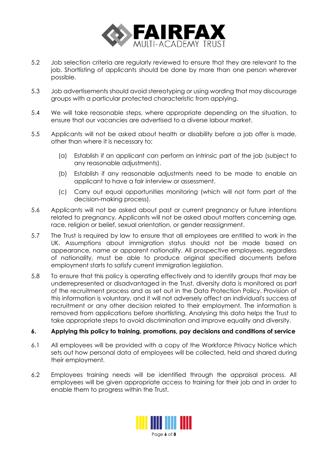

- 5.2 Job selection criteria are regularly reviewed to ensure that they are relevant to the job. Shortlisting of applicants should be done by more than one person wherever possible.
- 5.3 Job advertisements should avoid stereotyping or using wording that may discourage groups with a particular protected characteristic from applying.
- 5.4 We will take reasonable steps, where appropriate depending on the situation, to ensure that our vacancies are advertised to a diverse labour market.
- 5.5 Applicants will not be asked about health or disability before a job offer is made, other than where it is necessary to;
	- (a) Establish if an applicant can perform an intrinsic part of the job (subject to any reasonable adjustments).
	- (b) Establish if any reasonable adjustments need to be made to enable an applicant to have a fair interview or assessment.
	- (c) Carry out equal opportunities monitoring (which will not form part of the decision-making process).
- 5.6 Applicants will not be asked about past or current pregnancy or future intentions related to pregnancy. Applicants will not be asked about matters concerning age, race, religion or belief, sexual orientation, or gender reassignment.
- 5.7 The Trust is required by law to ensure that all employees are entitled to work in the UK. Assumptions about immigration status should not be made based on appearance, name or apparent nationality. All prospective employees, regardless of nationality, must be able to produce original specified documents before employment starts to satisfy current immigration legislation.
- 5.8 To ensure that this policy is operating effectively and to identify groups that may be underrepresented or disadvantaged in the Trust, diversity data is monitored as part of the recruitment process and as set out in the Data Protection Policy. Provision of this information is voluntary, and it will not adversely affect an individual's success at recruitment or any other decision related to their employment. The information is removed from applications before shortlisting. Analysing this data helps the Trust to take appropriate steps to avoid discrimination and improve equality and diversity.

#### **6. Applying this policy to training, promotions, pay decisions and conditions of service**

- 6.1 All employees will be provided with a copy of the Workforce Privacy Notice which sets out how personal data of employees will be collected, held and shared during their employment.
- 6.2 Employees training needs will be identified through the appraisal process. All employees will be given appropriate access to training for their job and in order to enable them to progress within the Trust.

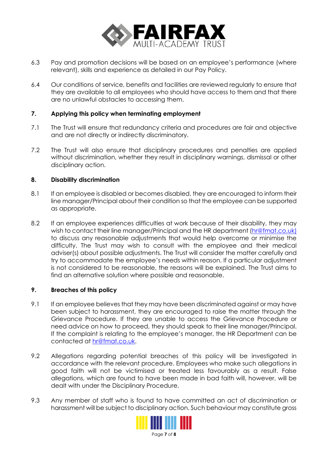

- 6.3 Pay and promotion decisions will be based on an employee's performance (where relevant), skills and experience as detailed in our Pay Policy.
- 6.4 Our conditions of service, benefits and facilities are reviewed regularly to ensure that they are available to all employees who should have access to them and that there are no unlawful obstacles to accessing them.

## **7. Applying this policy when terminating employment**

- 7.1 The Trust will ensure that redundancy criteria and procedures are fair and objective and are not directly or indirectly discriminatory.
- 7.2 The Trust will also ensure that disciplinary procedures and penalties are applied without discrimination, whether they result in disciplinary warnings, dismissal or other disciplinary action.

## **8. Disability discrimination**

- 8.1 If an employee is disabled or becomes disabled, they are encouraged to inform their line manager/Principal about their condition so that the employee can be supported as appropriate.
- 8.2 If an employee experiences difficulties at work because of their disability, they may wish to contact their line manager/Principal and the HR department [\(hr@fmat.co.uk\)](mailto:hr@fmat.co.uk) to discuss any reasonable adjustments that would help overcome or minimise the difficulty. The Trust may wish to consult with the employee and their medical adviser(s) about possible adjustments. The Trust will consider the matter carefully and try to accommodate the employee's needs within reason. If a particular adjustment is not considered to be reasonable, the reasons will be explained. The Trust aims to find an alternative solution where possible and reasonable.

#### **9. Breaches of this policy**

- 9.1 If an employee believes that they may have been discriminated against or may have been subject to harassment, they are encouraged to raise the matter through the Grievance Procedure. If they are unable to access the Grievance Procedure or need advice on how to proceed, they should speak to their line manager/Principal. If the complaint is relating to the employee's manager, the HR Department can be contacted at [hr@fmat.co.uk.](mailto:hr@fmat.co.uk)
- 9.2 Allegations regarding potential breaches of this policy will be investigated in accordance with the relevant procedure. Employees who make such allegations in good faith will not be victimised or treated less favourably as a result. False allegations, which are found to have been made in bad faith will, however, will be dealt with under the Disciplinary Procedure.
- 9.3 Any member of staff who is found to have committed an act of discrimination or harassment will be subject to disciplinary action. Such behaviour may constitute gross